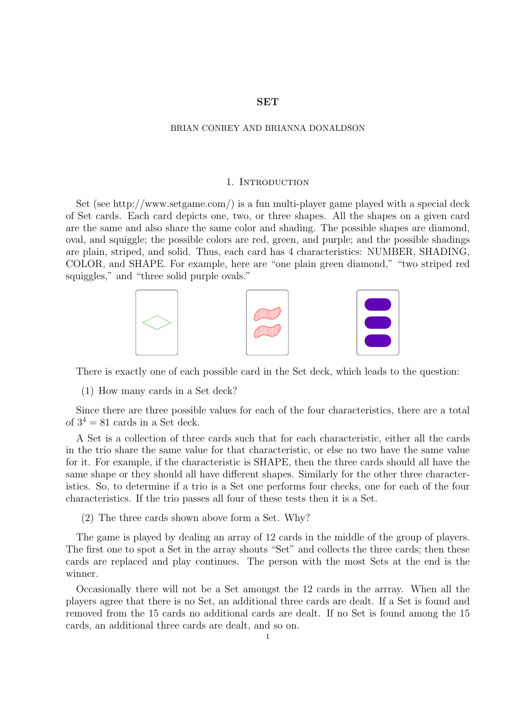# **SET**

### BRIAN CONREY AND BRIANNA DONALDSON

### 1. INTRODUCTION

Set (see http://www.setgame.com/) is a fun multi-player game played with a special deck of Set cards. Each card depicts one, two, or three shapes. All the shapes on a given card are the same and also share the same color and shading. The possible shapes are diamond, oval, and squiggle; the possible colors are red, green, and purple; and the possible shadings are plain, striped, and solid. Thus, each card has 4 characteristics: NUMBER, SHADING, COLOR, and SHAPE. For example, here are "one plain green diamond," "two striped red squiggles," and "three solid purple ovals."



There is exactly one of each possible card in the Set deck, which leads to the question:

(1) How many cards in a Set deck?

Since there are three possible values for each of the four characteristics, there are a total of  $3^4 = 81$  cards in a Set deck.

A Set is a collection of three cards such that for each characteristic, either all the cards in the trio share the same value for that characteristic, or else no two have the same value for it. For example, if the characteristic is SHAPE, then the three cards should all have the same shape or they should all have different shapes. Similarly for the other three characteristics. So, to determine if a trio is a Set one performs four checks, one for each of the four characteristics. If the trio passes all four of these tests then it is a Set.

(2) The three cards shown above form a Set. Why?

The game is played by dealing an array of 12 cards in the middle of the group of players. The first one to spot a Set in the array shouts "Set" and collects the three cards; then these cards are replaced and play continues. The person with the most Sets at the end is the winner.

Occasionally there will not be a Set amongst the 12 cards in the arrray. When all the players agree that there is no Set, an additional three cards are dealt. If a Set is found and removed from the 15 cards no additional cards are dealt. If no Set is found among the 15 cards, an additional three cards are dealt, and so on.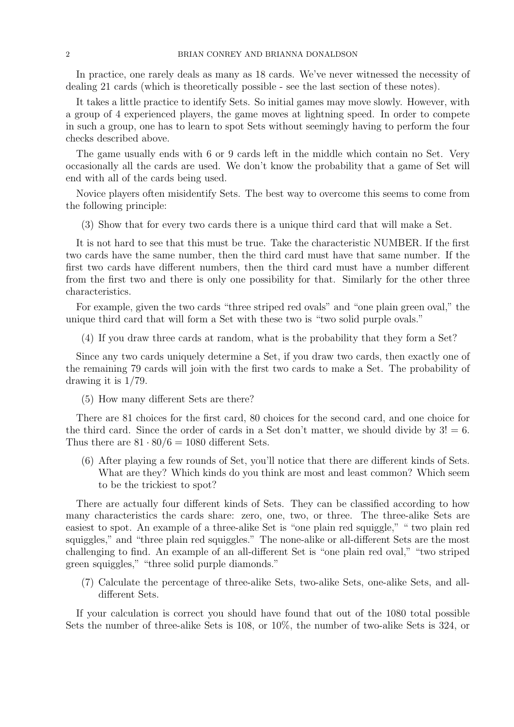In practice, one rarely deals as many as 18 cards. We've never witnessed the necessity of dealing 21 cards (which is theoretically possible - see the last section of these notes).

It takes a little practice to identify Sets. So initial games may move slowly. However, with a group of 4 experienced players, the game moves at lightning speed. In order to compete in such a group, one has to learn to spot Sets without seemingly having to perform the four checks described above.

The game usually ends with 6 or 9 cards left in the middle which contain no Set. Very occasionally all the cards are used. We don't know the probability that a game of Set will end with all of the cards being used.

Novice players often misidentify Sets. The best way to overcome this seems to come from the following principle:

(3) Show that for every two cards there is a unique third card that will make a Set.

It is not hard to see that this must be true. Take the characteristic NUMBER. If the first two cards have the same number, then the third card must have that same number. If the first two cards have different numbers, then the third card must have a number different from the first two and there is only one possibility for that. Similarly for the other three characteristics.

For example, given the two cards "three striped red ovals" and "one plain green oval," the unique third card that will form a Set with these two is "two solid purple ovals."

(4) If you draw three cards at random, what is the probability that they form a Set?

Since any two cards uniquely determine a Set, if you draw two cards, then exactly one of the remaining 79 cards will join with the first two cards to make a Set. The probability of drawing it is 1/79.

(5) How many different Sets are there?

There are 81 choices for the first card, 80 choices for the second card, and one choice for the third card. Since the order of cards in a Set don't matter, we should divide by  $3! = 6$ . Thus there are  $81 \cdot 80/6 = 1080$  different Sets.

(6) After playing a few rounds of Set, you'll notice that there are different kinds of Sets. What are they? Which kinds do you think are most and least common? Which seem to be the trickiest to spot?

There are actually four different kinds of Sets. They can be classified according to how many characteristics the cards share: zero, one, two, or three. The three-alike Sets are easiest to spot. An example of a three-alike Set is "one plain red squiggle," " two plain red squiggles," and "three plain red squiggles." The none-alike or all-different Sets are the most challenging to find. An example of an all-different Set is "one plain red oval," "two striped green squiggles," "three solid purple diamonds."

(7) Calculate the percentage of three-alike Sets, two-alike Sets, one-alike Sets, and alldifferent Sets.

If your calculation is correct you should have found that out of the 1080 total possible Sets the number of three-alike Sets is 108, or 10%, the number of two-alike Sets is 324, or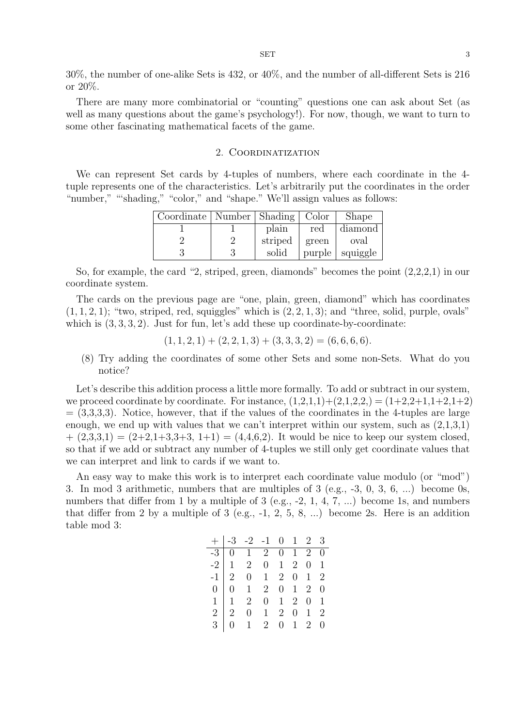30%, the number of one-alike Sets is 432, or 40%, and the number of all-different Sets is 216 or 20%.

There are many more combinatorial or "counting" questions one can ask about Set (as well as many questions about the game's psychology!). For now, though, we want to turn to some other fascinating mathematical facets of the game.

# 2. Coordinatization

We can represent Set cards by 4-tuples of numbers, where each coordinate in the 4 tuple represents one of the characteristics. Let's arbitrarily put the coordinates in the order "number," ""shading," "color," and "shape." We'll assign values as follows:

| Coordinate   Number   Shading   Color |    |         |        | Shape    |
|---------------------------------------|----|---------|--------|----------|
|                                       |    | plain   | red    | diamond  |
|                                       | ٠, | striped | green  | oval     |
|                                       |    | solid   | purple | squiggle |

So, for example, the card "2, striped, green, diamonds" becomes the point (2,2,2,1) in our coordinate system.

The cards on the previous page are "one, plain, green, diamond" which has coordinates  $(1, 1, 2, 1)$ ; "two, striped, red, squiggles" which is  $(2, 2, 1, 3)$ ; and "three, solid, purple, ovals" which is  $(3, 3, 3, 2)$ . Just for fun, let's add these up coordinate-by-coordinate:

$$
(1, 1, 2, 1) + (2, 2, 1, 3) + (3, 3, 3, 2) = (6, 6, 6, 6).
$$

(8) Try adding the coordinates of some other Sets and some non-Sets. What do you notice?

Let's describe this addition process a little more formally. To add or subtract in our system, we proceed coordinate by coordinate. For instance,  $(1,2,1,1)+(2,1,2,2)=(1+2,2+1,1+2,1+2)$  $=(3,3,3,3)$ . Notice, however, that if the values of the coordinates in the 4-tuples are large enough, we end up with values that we can't interpret within our system, such as  $(2,1,3,1)$  $+(2,3,3,1)=(2+2,1+3,3+3,1+1)=(4,4,6,2).$  It would be nice to keep our system closed, so that if we add or subtract any number of 4-tuples we still only get coordinate values that we can interpret and link to cards if we want to.

An easy way to make this work is to interpret each coordinate value modulo (or "mod") 3. In mod 3 arithmetic, numbers that are multiples of 3 (e.g., -3, 0, 3, 6, ...) become 0s, numbers that differ from 1 by a multiple of 3 (e.g., -2, 1, 4, 7, ...) become 1s, and numbers that differ from 2 by a multiple of 3 (e.g.,  $-1$ , 2, 5, 8, ...) become 2s. Here is an addition table mod 3:

|  | $\begin{array}{r rrrrrrrr} + & -3 & -2 & -1 & 0 & 1 & 2 & 3 \\ \hline -3 & 0 & 1 & 2 & 0 & 1 & 2 & 0 \\ -2 & 1 & 2 & 0 & 1 & 2 & 0 & 1 \\ -1 & 2 & 0 & 1 & 2 & 0 & 1 & 2 \\ 0 & 0 & 1 & 2 & 0 & 1 & 2 & 0 \\ 1 & 1 & 2 & 0 & 1 & 2 & 0 & 1 \\ 2 & 2 & 0 & 1 & 2 & 0 & 1 & 2 \\ 3 & 0 & 1 & 2 & 0 & 1 & 2 & 0 \\ \end{array}$ |  |  |  |
|--|------------------------------------------------------------------------------------------------------------------------------------------------------------------------------------------------------------------------------------------------------------------------------------------------------------------------------|--|--|--|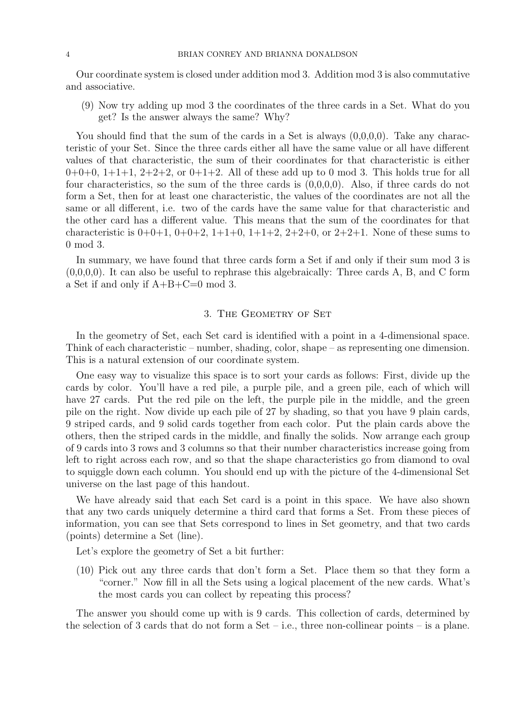Our coordinate system is closed under addition mod 3. Addition mod 3 is also commutative and associative.

(9) Now try adding up mod 3 the coordinates of the three cards in a Set. What do you get? Is the answer always the same? Why?

You should find that the sum of the cards in a Set is always  $(0,0,0,0)$ . Take any characteristic of your Set. Since the three cards either all have the same value or all have different values of that characteristic, the sum of their coordinates for that characteristic is either  $0+0+0$ ,  $1+1+1$ ,  $2+2+2$ , or  $0+1+2$ . All of these add up to 0 mod 3. This holds true for all four characteristics, so the sum of the three cards is (0,0,0,0). Also, if three cards do not form a Set, then for at least one characteristic, the values of the coordinates are not all the same or all different, i.e. two of the cards have the same value for that characteristic and the other card has a different value. This means that the sum of the coordinates for that characteristic is  $0+0+1$ ,  $0+0+2$ ,  $1+1+0$ ,  $1+1+2$ ,  $2+2+0$ , or  $2+2+1$ . None of these sums to 0 mod 3.

In summary, we have found that three cards form a Set if and only if their sum mod 3 is  $(0,0,0,0)$ . It can also be useful to rephrase this algebraically: Three cards A, B, and C form a Set if and only if A+B+C=0 mod 3.

# 3. THE GEOMETRY OF SET

In the geometry of Set, each Set card is identified with a point in a 4-dimensional space. Think of each characteristic – number, shading, color, shape – as representing one dimension. This is a natural extension of our coordinate system.

One easy way to visualize this space is to sort your cards as follows: First, divide up the cards by color. You'll have a red pile, a purple pile, and a green pile, each of which will have 27 cards. Put the red pile on the left, the purple pile in the middle, and the green pile on the right. Now divide up each pile of 27 by shading, so that you have 9 plain cards, 9 striped cards, and 9 solid cards together from each color. Put the plain cards above the others, then the striped cards in the middle, and finally the solids. Now arrange each group of 9 cards into 3 rows and 3 columns so that their number characteristics increase going from left to right across each row, and so that the shape characteristics go from diamond to oval to squiggle down each column. You should end up with the picture of the 4-dimensional Set universe on the last page of this handout.

We have already said that each Set card is a point in this space. We have also shown that any two cards uniquely determine a third card that forms a Set. From these pieces of information, you can see that Sets correspond to lines in Set geometry, and that two cards (points) determine a Set (line).

Let's explore the geometry of Set a bit further:

(10) Pick out any three cards that don't form a Set. Place them so that they form a "corner." Now fill in all the Sets using a logical placement of the new cards. What's the most cards you can collect by repeating this process?

The answer you should come up with is 9 cards. This collection of cards, determined by the selection of 3 cards that do not form a Set – i.e., three non-collinear points – is a plane.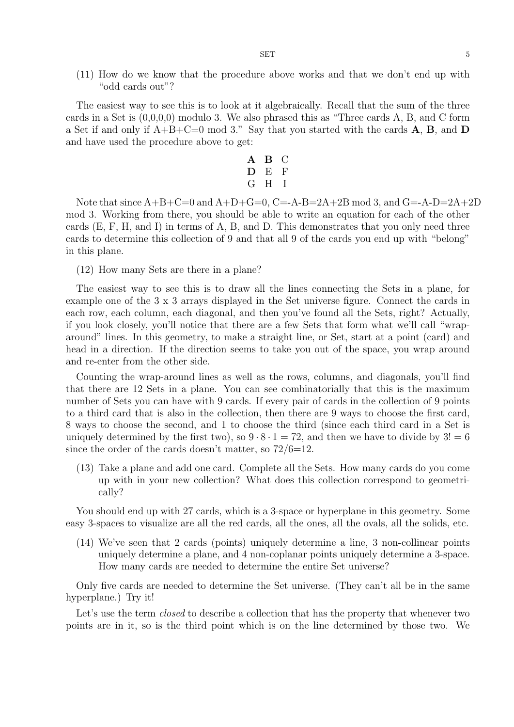#### $SET$  5

(11) How do we know that the procedure above works and that we don't end up with "odd cards out"?

The easiest way to see this is to look at it algebraically. Recall that the sum of the three cards in a Set is  $(0,0,0,0)$  modulo 3. We also phrased this as "Three cards A, B, and C form a Set if and only if A+B+C=0 mod 3." Say that you started with the cards **A**, **B**, and **D** and have used the procedure above to get:

$$
\begin{array}{cc}\nA & B & C \\
D & E & F \\
G & H & I\n\end{array}
$$

Note that since  $A+B+C=0$  and  $A+D+G=0$ ,  $C=A-B=2A+2B \mod 3$ , and  $G=-A-D=2A+2D$ mod 3. Working from there, you should be able to write an equation for each of the other cards (E, F, H, and I) in terms of A, B, and D. This demonstrates that you only need three cards to determine this collection of 9 and that all 9 of the cards you end up with "belong" in this plane.

(12) How many Sets are there in a plane?

The easiest way to see this is to draw all the lines connecting the Sets in a plane, for example one of the 3 x 3 arrays displayed in the Set universe figure. Connect the cards in each row, each column, each diagonal, and then you've found all the Sets, right? Actually, if you look closely, you'll notice that there are a few Sets that form what we'll call "wraparound" lines. In this geometry, to make a straight line, or Set, start at a point (card) and head in a direction. If the direction seems to take you out of the space, you wrap around and re-enter from the other side.

Counting the wrap-around lines as well as the rows, columns, and diagonals, you'll find that there are 12 Sets in a plane. You can see combinatorially that this is the maximum number of Sets you can have with 9 cards. If every pair of cards in the collection of 9 points to a third card that is also in the collection, then there are 9 ways to choose the first card, 8 ways to choose the second, and 1 to choose the third (since each third card in a Set is uniquely determined by the first two), so  $9 \cdot 8 \cdot 1 = 72$ , and then we have to divide by  $3! = 6$ since the order of the cards doesn't matter, so  $72/6=12$ .

(13) Take a plane and add one card. Complete all the Sets. How many cards do you come up with in your new collection? What does this collection correspond to geometrically?

You should end up with 27 cards, which is a 3-space or hyperplane in this geometry. Some easy 3-spaces to visualize are all the red cards, all the ones, all the ovals, all the solids, etc.

(14) We've seen that 2 cards (points) uniquely determine a line, 3 non-collinear points uniquely determine a plane, and 4 non-coplanar points uniquely determine a 3-space. How many cards are needed to determine the entire Set universe?

Only five cards are needed to determine the Set universe. (They can't all be in the same hyperplane.) Try it!

Let's use the term *closed* to describe a collection that has the property that whenever two points are in it, so is the third point which is on the line determined by those two. We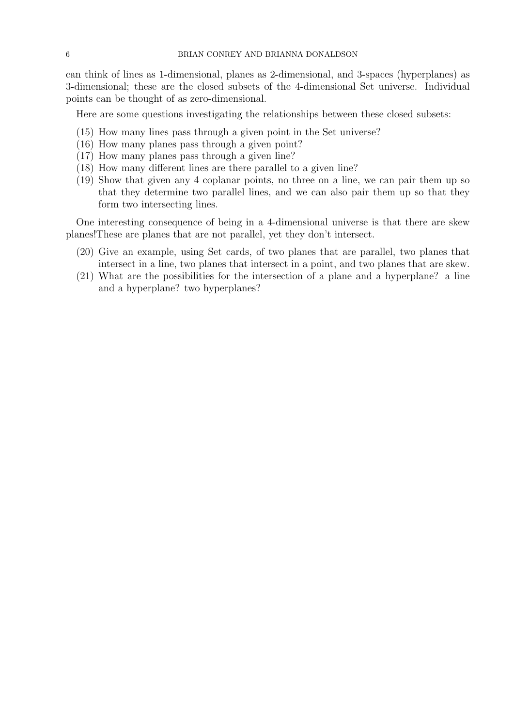can think of lines as 1-dimensional, planes as 2-dimensional, and 3-spaces (hyperplanes) as 3-dimensional; these are the closed subsets of the 4-dimensional Set universe. Individual points can be thought of as zero-dimensional.

Here are some questions investigating the relationships between these closed subsets:

- (15) How many lines pass through a given point in the Set universe?
- (16) How many planes pass through a given point?
- (17) How many planes pass through a given line?
- (18) How many different lines are there parallel to a given line?
- (19) Show that given any 4 coplanar points, no three on a line, we can pair them up so that they determine two parallel lines, and we can also pair them up so that they form two intersecting lines.

One interesting consequence of being in a 4-dimensional universe is that there are skew planes!These are planes that are not parallel, yet they don't intersect.

- (20) Give an example, using Set cards, of two planes that are parallel, two planes that intersect in a line, two planes that intersect in a point, and two planes that are skew.
- (21) What are the possibilities for the intersection of a plane and a hyperplane? a line and a hyperplane? two hyperplanes?